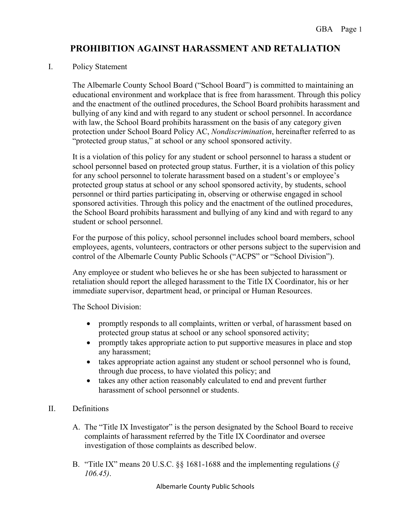# **PROHIBITION AGAINST HARASSMENT AND RETALIATION**

#### I. Policy Statement

The Albemarle County School Board ("School Board") is committed to maintaining an educational environment and workplace that is free from harassment. Through this policy and the enactment of the outlined procedures, the School Board prohibits harassment and bullying of any kind and with regard to any student or school personnel. In accordance with law, the School Board prohibits harassment on the basis of any category given protection under School Board Policy AC, *Nondiscrimination*, hereinafter referred to as "protected group status," at school or any school sponsored activity.

It is a violation of this policy for any student or school personnel to harass a student or school personnel based on protected group status. Further, it is a violation of this policy for any school personnel to tolerate harassment based on a student's or employee's protected group status at school or any school sponsored activity, by students, school personnel or third parties participating in, observing or otherwise engaged in school sponsored activities. Through this policy and the enactment of the outlined procedures, the School Board prohibits harassment and bullying of any kind and with regard to any student or school personnel.

For the purpose of this policy, school personnel includes school board members, school employees, agents, volunteers, contractors or other persons subject to the supervision and control of the Albemarle County Public Schools ("ACPS" or "School Division").

Any employee or student who believes he or she has been subjected to harassment or retaliation should report the alleged harassment to the Title IX Coordinator, his or her immediate supervisor, department head, or principal or Human Resources.

The School Division:

- promptly responds to all complaints, written or verbal, of harassment based on protected group status at school or any school sponsored activity;
- promptly takes appropriate action to put supportive measures in place and stop any harassment;
- takes appropriate action against any student or school personnel who is found, through due process, to have violated this policy; and
- takes any other action reasonably calculated to end and prevent further harassment of school personnel or students.

### II. Definitions

- A. The "Title IX Investigator" is the person designated by the School Board to receive complaints of harassment referred by the Title IX Coordinator and oversee investigation of those complaints as described below.
- B. "Title IX" means 20 U.S.C. §§ 1681-1688 and the implementing regulations (*§ 106.45)*.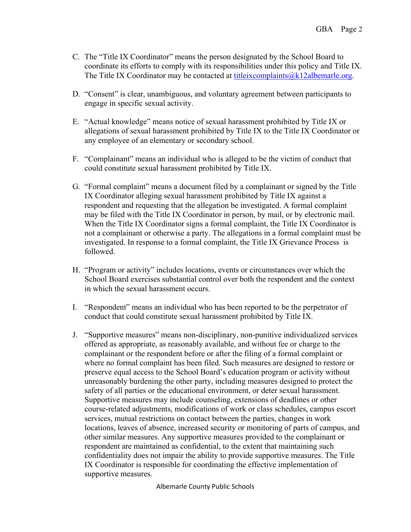- C. The "Title IX Coordinator" means the person designated by the School Board to coordinate its efforts to comply with its responsibilities under this policy and Title IX. The Title IX Coordinator may be contacted at titleix complaints  $@k12$  albemarle.org.
- D. "Consent" is clear, unambiguous, and voluntary agreement between participants to engage in specific sexual activity.
- E. "Actual knowledge" means notice of sexual harassment prohibited by Title IX or allegations of sexual harassment prohibited by Title IX to the Title IX Coordinator or any employee of an elementary or secondary school.
- F. "Complainant" means an individual who is alleged to be the victim of conduct that could constitute sexual harassment prohibited by Title IX.
- G. "Formal complaint" means a document filed by a complainant or signed by the Title IX Coordinator alleging sexual harassment prohibited by Title IX against a respondent and requesting that the allegation be investigated. A formal complaint may be filed with the Title IX Coordinator in person, by mail, or by electronic mail. When the Title IX Coordinator signs a formal complaint, the Title IX Coordinator is not a complainant or otherwise a party. The allegations in a formal complaint must be investigated. In response to a formal complaint, the Title IX Grievance Process is followed.
- H. "Program or activity" includes locations, events or circumstances over which the School Board exercises substantial control over both the respondent and the context in which the sexual harassment occurs.
- I. "Respondent" means an individual who has been reported to be the perpetrator of conduct that could constitute sexual harassment prohibited by Title IX.
- J. "Supportive measures" means non-disciplinary, non-punitive individualized services offered as appropriate, as reasonably available, and without fee or charge to the complainant or the respondent before or after the filing of a formal complaint or where no formal complaint has been filed. Such measures are designed to restore or preserve equal access to the School Board's education program or activity without unreasonably burdening the other party, including measures designed to protect the safety of all parties or the educational environment, or deter sexual harassment. Supportive measures may include counseling, extensions of deadlines or other course-related adjustments, modifications of work or class schedules, campus escort services, mutual restrictions on contact between the parties, changes in work locations, leaves of absence, increased security or monitoring of parts of campus, and other similar measures. Any supportive measures provided to the complainant or respondent are maintained as confidential, to the extent that maintaining such confidentiality does not impair the ability to provide supportive measures. The Title IX Coordinator is responsible for coordinating the effective implementation of supportive measures.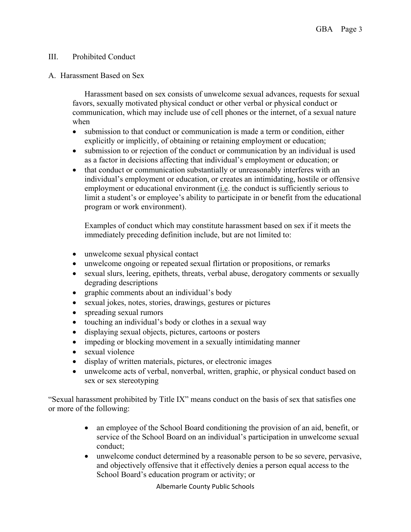### III. Prohibited Conduct

#### A. Harassment Based on Sex

Harassment based on sex consists of unwelcome sexual advances, requests for sexual favors, sexually motivated physical conduct or other verbal or physical conduct or communication, which may include use of cell phones or the internet, of a sexual nature when

- submission to that conduct or communication is made a term or condition, either explicitly or implicitly, of obtaining or retaining employment or education;
- submission to or rejection of the conduct or communication by an individual is used as a factor in decisions affecting that individual's employment or education; or
- that conduct or communication substantially or unreasonably interferes with an individual's employment or education, or creates an intimidating, hostile or offensive employment or educational environment (i.e. the conduct is sufficiently serious to limit a student's or employee's ability to participate in or benefit from the educational program or work environment).

Examples of conduct which may constitute harassment based on sex if it meets the immediately preceding definition include, but are not limited to:

- unwelcome sexual physical contact
- unwelcome ongoing or repeated sexual flirtation or propositions, or remarks
- sexual slurs, leering, epithets, threats, verbal abuse, derogatory comments or sexually degrading descriptions
- graphic comments about an individual's body
- sexual jokes, notes, stories, drawings, gestures or pictures
- spreading sexual rumors
- touching an individual's body or clothes in a sexual way
- displaying sexual objects, pictures, cartoons or posters
- impeding or blocking movement in a sexually intimidating manner
- sexual violence
- display of written materials, pictures, or electronic images
- unwelcome acts of verbal, nonverbal, written, graphic, or physical conduct based on sex or sex stereotyping

"Sexual harassment prohibited by Title IX" means conduct on the basis of sex that satisfies one or more of the following:

- an employee of the School Board conditioning the provision of an aid, benefit, or service of the School Board on an individual's participation in unwelcome sexual conduct;
- unwelcome conduct determined by a reasonable person to be so severe, pervasive, and objectively offensive that it effectively denies a person equal access to the School Board's education program or activity; or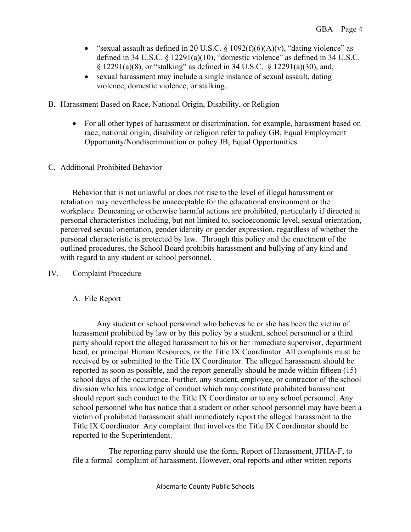- "sexual assault as defined in 20 U.S.C.  $\S$  1092(f)(6)(A)(v), "dating violence" as defined in 34 U.S.C. § 12291(a)(10), "domestic violence" as defined in 34 U.S.C. § 12291(a)(8), or "stalking" as defined in 34 U.S.C. § 12291(a)(30), and,
- sexual harassment may include a single instance of sexual assault, dating violence, domestic violence, or stalking.
- B. Harassment Based on Race, National Origin, Disability, or Religion
	- For all other types of harassment or discrimination, for example, harassment based on race, national origin, disability or religion refer to policy GB, Equal Employment Opportunity/Nondiscrimination or policy JB, Equal Opportunities.
- C. Additional Prohibited Behavior

Behavior that is not unlawful or does not rise to the level of illegal harassment or retaliation may nevertheless be unacceptable for the educational environment or the workplace. Demeaning or otherwise harmful actions are prohibited, particularly if directed at personal characteristics including, but not limited to, socioeconomic level, sexual orientation, perceived sexual orientation, gender identity or gender expression, regardless of whether the personal characteristic is protected by law. Through this policy and the enactment of the outlined procedures, the School Board prohibits harassment and bullying of any kind and with regard to any student or school personnel.

### IV. Complaint Procedure

### A. File Report

Any student or school personnel who believes he or she has been the victim of harassment prohibited by law or by this policy by a student, school personnel or a third party should report the alleged harassment to his or her immediate supervisor, department head, or principal Human Resources, or the Title IX Coordinator. All complaints must be received by or submitted to the Title IX Coordinator. The alleged harassment should be reported as soon as possible, and the report generally should be made within fifteen (15) school days of the occurrence. Further, any student, employee, or contractor of the school division who has knowledge of conduct which may constitute prohibited harassment should report such conduct to the Title IX Coordinator or to any school personnel. Any school personnel who has notice that a student or other school personnel may have been a victim of prohibited harassment shall immediately report the alleged harassment to the Title IX Coordinator. Any complaint that involves the Title IX Coordinator should be reported to the Superintendent.

The reporting party should use the form, Report of Harassment, JFHA-F, to file a formal complaint of harassment. However, oral reports and other written reports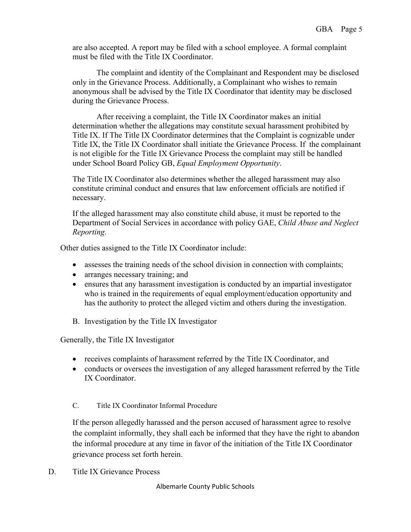are also accepted. A report may be filed with a school employee. A formal complaint must be filed with the Title IX Coordinator.

The complaint and identity of the Complainant and Respondent may be disclosed only in the Grievance Process. Additionally, a Complainant who wishes to remain anonymous shall be advised by the Title IX Coordinator that identity may be disclosed during the Grievance Process.

After receiving a complaint, the Title IX Coordinator makes an initial determination whether the allegations may constitute sexual harassment prohibited by Title IX. If The Title IX Coordinator determines that the Complaint is cognizable under Title IX, the Title IX Coordinator shall initiate the Grievance Process. If the complainant is not eligible for the Title IX Grievance Process the complaint may still be handled under School Board Policy GB, *Equal Employment Opportunity*.

The Title IX Coordinator also determines whether the alleged harassment may also constitute criminal conduct and ensures that law enforcement officials are notified if necessary.

If the alleged harassment may also constitute child abuse, it must be reported to the Department of Social Services in accordance with policy GAE, *Child Abuse and Neglect Reporting.* 

Other duties assigned to the Title IX Coordinator include:

- assesses the training needs of the school division in connection with complaints;
- arranges necessary training; and
- ensures that any harassment investigation is conducted by an impartial investigator who is trained in the requirements of equal employment/education opportunity and has the authority to protect the alleged victim and others during the investigation.
- B. Investigation by the Title IX Investigator

Generally, the Title IX Investigator

- receives complaints of harassment referred by the Title IX Coordinator, and
- conducts or oversees the investigation of any alleged harassment referred by the Title IX Coordinator.

C. Title IX Coordinator Informal Procedure

If the person allegedly harassed and the person accused of harassment agree to resolve the complaint informally, they shall each be informed that they have the right to abandon the informal procedure at any time in favor of the initiation of the Title IX Coordinator grievance process set forth herein.

D. Title IX Grievance Process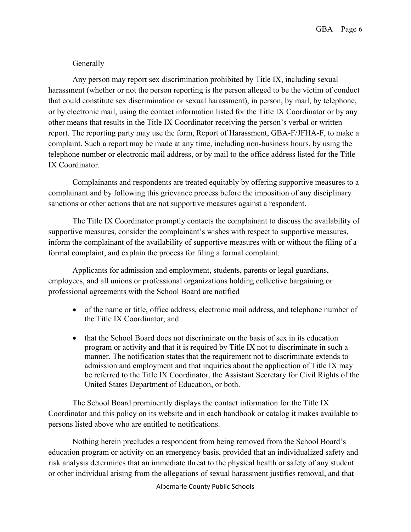### Generally

Any person may report sex discrimination prohibited by Title IX, including sexual harassment (whether or not the person reporting is the person alleged to be the victim of conduct that could constitute sex discrimination or sexual harassment), in person, by mail, by telephone, or by electronic mail, using the contact information listed for the Title IX Coordinator or by any other means that results in the Title IX Coordinator receiving the person's verbal or written report. The reporting party may use the form, Report of Harassment, GBA-F/JFHA-F, to make a complaint. Such a report may be made at any time, including non-business hours, by using the telephone number or electronic mail address, or by mail to the office address listed for the Title IX Coordinator.

Complainants and respondents are treated equitably by offering supportive measures to a complainant and by following this grievance process before the imposition of any disciplinary sanctions or other actions that are not supportive measures against a respondent.

The Title IX Coordinator promptly contacts the complainant to discuss the availability of supportive measures, consider the complainant's wishes with respect to supportive measures, inform the complainant of the availability of supportive measures with or without the filing of a formal complaint, and explain the process for filing a formal complaint.

Applicants for admission and employment, students, parents or legal guardians, employees, and all unions or professional organizations holding collective bargaining or professional agreements with the School Board are notified

- of the name or title, office address, electronic mail address, and telephone number of the Title IX Coordinator; and
- that the School Board does not discriminate on the basis of sex in its education program or activity and that it is required by Title IX not to discriminate in such a manner. The notification states that the requirement not to discriminate extends to admission and employment and that inquiries about the application of Title IX may be referred to the Title IX Coordinator, the Assistant Secretary for Civil Rights of the United States Department of Education, or both.

The School Board prominently displays the contact information for the Title IX Coordinator and this policy on its website and in each handbook or catalog it makes available to persons listed above who are entitled to notifications.

Nothing herein precludes a respondent from being removed from the School Board's education program or activity on an emergency basis, provided that an individualized safety and risk analysis determines that an immediate threat to the physical health or safety of any student or other individual arising from the allegations of sexual harassment justifies removal, and that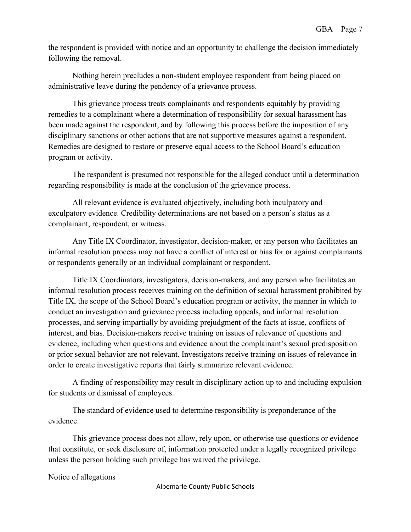the respondent is provided with notice and an opportunity to challenge the decision immediately following the removal.

Nothing herein precludes a non-student employee respondent from being placed on administrative leave during the pendency of a grievance process.

This grievance process treats complainants and respondents equitably by providing remedies to a complainant where a determination of responsibility for sexual harassment has been made against the respondent, and by following this process before the imposition of any disciplinary sanctions or other actions that are not supportive measures against a respondent. Remedies are designed to restore or preserve equal access to the School Board's education program or activity.

The respondent is presumed not responsible for the alleged conduct until a determination regarding responsibility is made at the conclusion of the grievance process.

All relevant evidence is evaluated objectively, including both inculpatory and exculpatory evidence. Credibility determinations are not based on a person's status as a complainant, respondent, or witness.

Any Title IX Coordinator, investigator, decision-maker, or any person who facilitates an informal resolution process may not have a conflict of interest or bias for or against complainants or respondents generally or an individual complainant or respondent.

Title IX Coordinators, investigators, decision-makers, and any person who facilitates an informal resolution process receives training on the definition of sexual harassment prohibited by Title IX, the scope of the School Board's education program or activity, the manner in which to conduct an investigation and grievance process including appeals, and informal resolution processes, and serving impartially by avoiding prejudgment of the facts at issue, conflicts of interest, and bias. Decision-makers receive training on issues of relevance of questions and evidence, including when questions and evidence about the complainant's sexual predisposition or prior sexual behavior are not relevant. Investigators receive training on issues of relevance in order to create investigative reports that fairly summarize relevant evidence.

A finding of responsibility may result in disciplinary action up to and including expulsion for students or dismissal of employees.

The standard of evidence used to determine responsibility is preponderance of the evidence.

This grievance process does not allow, rely upon, or otherwise use questions or evidence that constitute, or seek disclosure of, information protected under a legally recognized privilege unless the person holding such privilege has waived the privilege.

Notice of allegations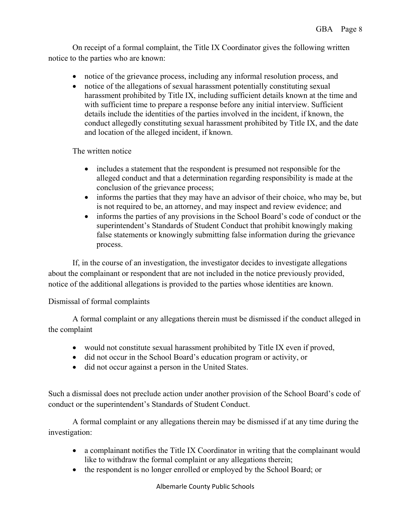On receipt of a formal complaint, the Title IX Coordinator gives the following written notice to the parties who are known:

- notice of the grievance process, including any informal resolution process, and
- notice of the allegations of sexual harassment potentially constituting sexual harassment prohibited by Title IX, including sufficient details known at the time and with sufficient time to prepare a response before any initial interview. Sufficient details include the identities of the parties involved in the incident, if known, the conduct allegedly constituting sexual harassment prohibited by Title IX, and the date and location of the alleged incident, if known.

The written notice

- includes a statement that the respondent is presumed not responsible for the alleged conduct and that a determination regarding responsibility is made at the conclusion of the grievance process;
- informs the parties that they may have an advisor of their choice, who may be, but is not required to be, an attorney, and may inspect and review evidence; and
- informs the parties of any provisions in the School Board's code of conduct or the superintendent's Standards of Student Conduct that prohibit knowingly making false statements or knowingly submitting false information during the grievance process.

If, in the course of an investigation, the investigator decides to investigate allegations about the complainant or respondent that are not included in the notice previously provided, notice of the additional allegations is provided to the parties whose identities are known.

### Dismissal of formal complaints

A formal complaint or any allegations therein must be dismissed if the conduct alleged in the complaint

- would not constitute sexual harassment prohibited by Title IX even if proved,
- did not occur in the School Board's education program or activity, or
- did not occur against a person in the United States.

Such a dismissal does not preclude action under another provision of the School Board's code of conduct or the superintendent's Standards of Student Conduct.

A formal complaint or any allegations therein may be dismissed if at any time during the investigation:

- a complainant notifies the Title IX Coordinator in writing that the complainant would like to withdraw the formal complaint or any allegations therein;
- the respondent is no longer enrolled or employed by the School Board; or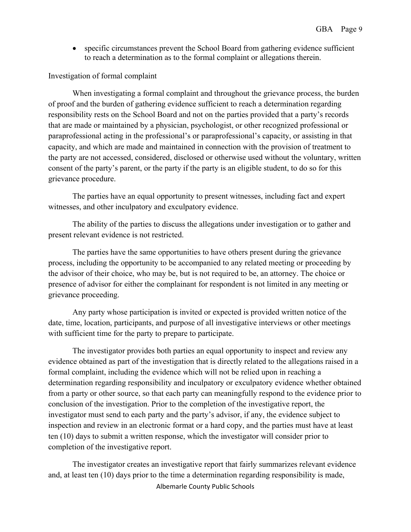• specific circumstances prevent the School Board from gathering evidence sufficient to reach a determination as to the formal complaint or allegations therein.

### Investigation of formal complaint

When investigating a formal complaint and throughout the grievance process, the burden of proof and the burden of gathering evidence sufficient to reach a determination regarding responsibility rests on the School Board and not on the parties provided that a party's records that are made or maintained by a physician, psychologist, or other recognized professional or paraprofessional acting in the professional's or paraprofessional's capacity, or assisting in that capacity, and which are made and maintained in connection with the provision of treatment to the party are not accessed, considered, disclosed or otherwise used without the voluntary, written consent of the party's parent, or the party if the party is an eligible student, to do so for this grievance procedure.

The parties have an equal opportunity to present witnesses, including fact and expert witnesses, and other inculpatory and exculpatory evidence.

The ability of the parties to discuss the allegations under investigation or to gather and present relevant evidence is not restricted.

The parties have the same opportunities to have others present during the grievance process, including the opportunity to be accompanied to any related meeting or proceeding by the advisor of their choice, who may be, but is not required to be, an attorney. The choice or presence of advisor for either the complainant for respondent is not limited in any meeting or grievance proceeding.

Any party whose participation is invited or expected is provided written notice of the date, time, location, participants, and purpose of all investigative interviews or other meetings with sufficient time for the party to prepare to participate.

The investigator provides both parties an equal opportunity to inspect and review any evidence obtained as part of the investigation that is directly related to the allegations raised in a formal complaint, including the evidence which will not be relied upon in reaching a determination regarding responsibility and inculpatory or exculpatory evidence whether obtained from a party or other source, so that each party can meaningfully respond to the evidence prior to conclusion of the investigation. Prior to the completion of the investigative report, the investigator must send to each party and the party's advisor, if any, the evidence subject to inspection and review in an electronic format or a hard copy, and the parties must have at least ten (10) days to submit a written response, which the investigator will consider prior to completion of the investigative report.

Albemarle County Public Schools The investigator creates an investigative report that fairly summarizes relevant evidence and, at least ten (10) days prior to the time a determination regarding responsibility is made,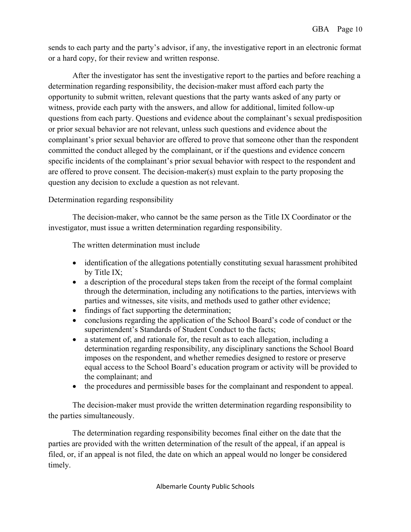sends to each party and the party's advisor, if any, the investigative report in an electronic format or a hard copy, for their review and written response.

After the investigator has sent the investigative report to the parties and before reaching a determination regarding responsibility, the decision-maker must afford each party the opportunity to submit written, relevant questions that the party wants asked of any party or witness, provide each party with the answers, and allow for additional, limited follow-up questions from each party. Questions and evidence about the complainant's sexual predisposition or prior sexual behavior are not relevant, unless such questions and evidence about the complainant's prior sexual behavior are offered to prove that someone other than the respondent committed the conduct alleged by the complainant, or if the questions and evidence concern specific incidents of the complainant's prior sexual behavior with respect to the respondent and are offered to prove consent. The decision-maker(s) must explain to the party proposing the question any decision to exclude a question as not relevant.

### Determination regarding responsibility

The decision-maker, who cannot be the same person as the Title IX Coordinator or the investigator, must issue a written determination regarding responsibility.

The written determination must include

- identification of the allegations potentially constituting sexual harassment prohibited by Title IX;
- a description of the procedural steps taken from the receipt of the formal complaint through the determination, including any notifications to the parties, interviews with parties and witnesses, site visits, and methods used to gather other evidence;
- findings of fact supporting the determination;
- conclusions regarding the application of the School Board's code of conduct or the superintendent's Standards of Student Conduct to the facts;
- a statement of, and rationale for, the result as to each allegation, including a determination regarding responsibility, any disciplinary sanctions the School Board imposes on the respondent, and whether remedies designed to restore or preserve equal access to the School Board's education program or activity will be provided to the complainant; and
- the procedures and permissible bases for the complainant and respondent to appeal.

The decision-maker must provide the written determination regarding responsibility to the parties simultaneously.

The determination regarding responsibility becomes final either on the date that the parties are provided with the written determination of the result of the appeal, if an appeal is filed, or, if an appeal is not filed, the date on which an appeal would no longer be considered timely.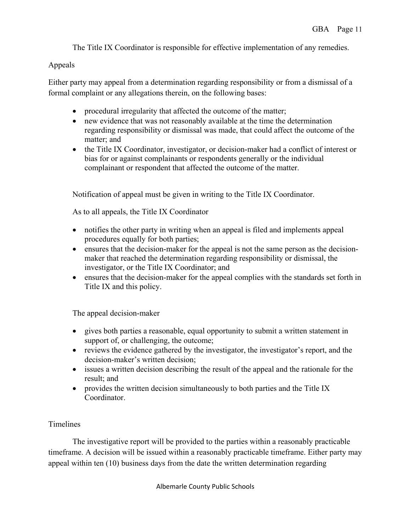The Title IX Coordinator is responsible for effective implementation of any remedies.

### Appeals

Either party may appeal from a determination regarding responsibility or from a dismissal of a formal complaint or any allegations therein, on the following bases:

- procedural irregularity that affected the outcome of the matter;
- new evidence that was not reasonably available at the time the determination regarding responsibility or dismissal was made, that could affect the outcome of the matter; and
- the Title IX Coordinator, investigator, or decision-maker had a conflict of interest or bias for or against complainants or respondents generally or the individual complainant or respondent that affected the outcome of the matter.

Notification of appeal must be given in writing to the Title IX Coordinator.

As to all appeals, the Title IX Coordinator

- notifies the other party in writing when an appeal is filed and implements appeal procedures equally for both parties;
- ensures that the decision-maker for the appeal is not the same person as the decisionmaker that reached the determination regarding responsibility or dismissal, the investigator, or the Title IX Coordinator; and
- ensures that the decision-maker for the appeal complies with the standards set forth in Title IX and this policy.

The appeal decision-maker

- gives both parties a reasonable, equal opportunity to submit a written statement in support of, or challenging, the outcome;
- reviews the evidence gathered by the investigator, the investigator's report, and the decision-maker's written decision;
- issues a written decision describing the result of the appeal and the rationale for the result; and
- provides the written decision simultaneously to both parties and the Title IX Coordinator.

## Timelines

The investigative report will be provided to the parties within a reasonably practicable timeframe. A decision will be issued within a reasonably practicable timeframe. Either party may appeal within ten (10) business days from the date the written determination regarding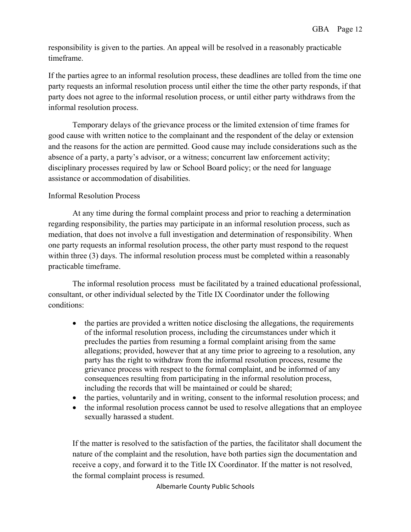responsibility is given to the parties. An appeal will be resolved in a reasonably practicable timeframe.

If the parties agree to an informal resolution process, these deadlines are tolled from the time one party requests an informal resolution process until either the time the other party responds, if that party does not agree to the informal resolution process, or until either party withdraws from the informal resolution process.

Temporary delays of the grievance process or the limited extension of time frames for good cause with written notice to the complainant and the respondent of the delay or extension and the reasons for the action are permitted. Good cause may include considerations such as the absence of a party, a party's advisor, or a witness; concurrent law enforcement activity; disciplinary processes required by law or School Board policy; or the need for language assistance or accommodation of disabilities.

### Informal Resolution Process

At any time during the formal complaint process and prior to reaching a determination regarding responsibility, the parties may participate in an informal resolution process, such as mediation, that does not involve a full investigation and determination of responsibility. When one party requests an informal resolution process, the other party must respond to the request within three (3) days. The informal resolution process must be completed within a reasonably practicable timeframe.

The informal resolution process must be facilitated by a trained educational professional, consultant, or other individual selected by the Title IX Coordinator under the following conditions:

- the parties are provided a written notice disclosing the allegations, the requirements of the informal resolution process, including the circumstances under which it precludes the parties from resuming a formal complaint arising from the same allegations; provided, however that at any time prior to agreeing to a resolution, any party has the right to withdraw from the informal resolution process, resume the grievance process with respect to the formal complaint, and be informed of any consequences resulting from participating in the informal resolution process, including the records that will be maintained or could be shared;
- the parties, voluntarily and in writing, consent to the informal resolution process; and
- the informal resolution process cannot be used to resolve allegations that an employee sexually harassed a student.

If the matter is resolved to the satisfaction of the parties, the facilitator shall document the nature of the complaint and the resolution, have both parties sign the documentation and receive a copy, and forward it to the Title IX Coordinator. If the matter is not resolved, the formal complaint process is resumed.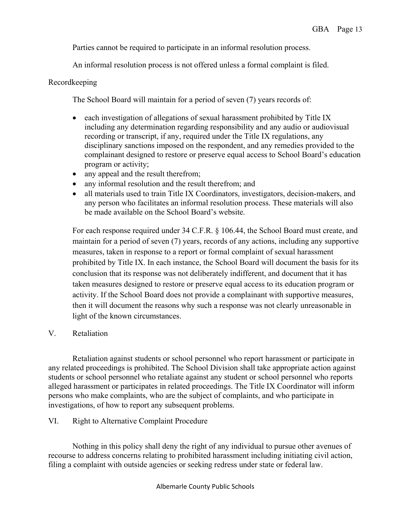Parties cannot be required to participate in an informal resolution process.

An informal resolution process is not offered unless a formal complaint is filed.

### Recordkeeping

The School Board will maintain for a period of seven (7) years records of:

- each investigation of allegations of sexual harassment prohibited by Title IX including any determination regarding responsibility and any audio or audiovisual recording or transcript, if any, required under the Title IX regulations, any disciplinary sanctions imposed on the respondent, and any remedies provided to the complainant designed to restore or preserve equal access to School Board's education program or activity;
- any appeal and the result therefrom;
- any informal resolution and the result therefrom; and
- all materials used to train Title IX Coordinators, investigators, decision-makers, and any person who facilitates an informal resolution process. These materials will also be made available on the School Board's website.

For each response required under 34 C.F.R. § 106.44, the School Board must create, and maintain for a period of seven (7) years, records of any actions, including any supportive measures, taken in response to a report or formal complaint of sexual harassment prohibited by Title IX. In each instance, the School Board will document the basis for its conclusion that its response was not deliberately indifferent, and document that it has taken measures designed to restore or preserve equal access to its education program or activity. If the School Board does not provide a complainant with supportive measures, then it will document the reasons why such a response was not clearly unreasonable in light of the known circumstances.

V. Retaliation

Retaliation against students or school personnel who report harassment or participate in any related proceedings is prohibited. The School Division shall take appropriate action against students or school personnel who retaliate against any student or school personnel who reports alleged harassment or participates in related proceedings. The Title IX Coordinator will inform persons who make complaints, who are the subject of complaints, and who participate in investigations, of how to report any subsequent problems.

VI. Right to Alternative Complaint Procedure

Nothing in this policy shall deny the right of any individual to pursue other avenues of recourse to address concerns relating to prohibited harassment including initiating civil action, filing a complaint with outside agencies or seeking redress under state or federal law.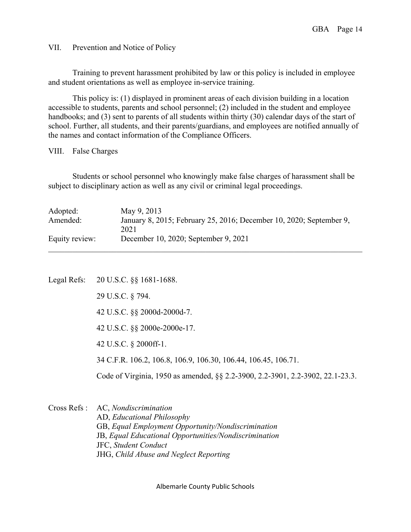VII. Prevention and Notice of Policy

Training to prevent harassment prohibited by law or this policy is included in employee and student orientations as well as employee in-service training.

This policy is: (1) displayed in prominent areas of each division building in a location accessible to students, parents and school personnel; (2) included in the student and employee handbooks; and (3) sent to parents of all students within thirty (30) calendar days of the start of school. Further, all students, and their parents/guardians, and employees are notified annually of the names and contact information of the Compliance Officers.

VIII. False Charges

Students or school personnel who knowingly make false charges of harassment shall be subject to disciplinary action as well as any civil or criminal legal proceedings.

| Adopted:       | May 9, 2013                                                         |
|----------------|---------------------------------------------------------------------|
| Amended:       | January 8, 2015; February 25, 2016; December 10, 2020; September 9, |
|                | 2021                                                                |
| Equity review: | December 10, 2020; September 9, 2021                                |
|                |                                                                     |

Legal Refs: 20 U.S.C. §§ 1681-1688. 29 U.S.C. § 794. 42 U.S.C. §§ 2000d-2000d-7. 42 U.S.C. §§ 2000e-2000e-17. 42 U.S.C. § 2000ff-1. 34 C.F.R. 106.2, 106.8, 106.9, 106.30, 106.44, 106.45, 106.71. Code of Virginia, 1950 as amended, §§ 2.2-3900, 2.2-3901, 2.2-3902, 22.1-23.3.

Cross Refs : AC, *Nondiscrimination* AD, *Educational Philosophy* GB, *Equal Employment Opportunity/Nondiscrimination* JB, *Equal Educational Opportunities/Nondiscrimination* JFC, *Student Conduct* JHG, *Child Abuse and Neglect Reporting*